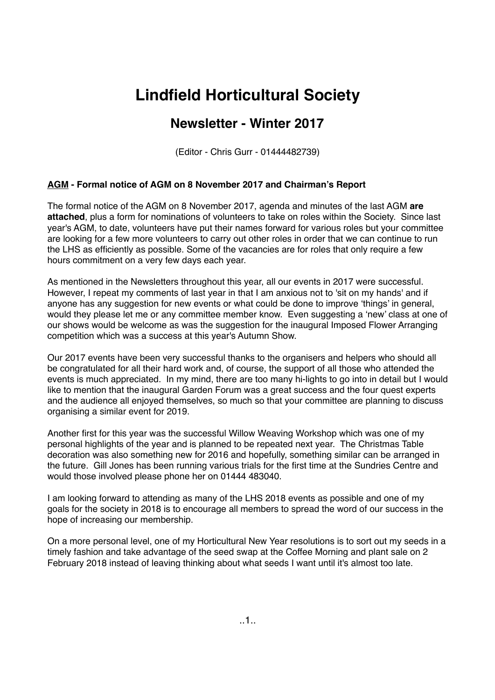# **Lindfield Horticultural Society**

# **Newsletter - Winter 2017**

(Editor - Chris Gurr - 01444482739)

# **AGM - Formal notice of AGM on 8 November 2017 and Chairman's Report**

The formal notice of the AGM on 8 November 2017, agenda and minutes of the last AGM **are attached**, plus a form for nominations of volunteers to take on roles within the Society. Since last year's AGM, to date, volunteers have put their names forward for various roles but your committee are looking for a few more volunteers to carry out other roles in order that we can continue to run the LHS as efficiently as possible. Some of the vacancies are for roles that only require a few hours commitment on a very few days each year.

As mentioned in the Newsletters throughout this year, all our events in 2017 were successful. However, I repeat my comments of last year in that I am anxious not to 'sit on my hands' and if anyone has any suggestion for new events or what could be done to improve 'things' in general, would they please let me or any committee member know. Even suggesting a 'new' class at one of our shows would be welcome as was the suggestion for the inaugural Imposed Flower Arranging competition which was a success at this year's Autumn Show.

Our 2017 events have been very successful thanks to the organisers and helpers who should all be congratulated for all their hard work and, of course, the support of all those who attended the events is much appreciated. In my mind, there are too many hi-lights to go into in detail but I would like to mention that the inaugural Garden Forum was a great success and the four quest experts and the audience all enjoyed themselves, so much so that your committee are planning to discuss organising a similar event for 2019.

Another first for this year was the successful Willow Weaving Workshop which was one of my personal highlights of the year and is planned to be repeated next year. The Christmas Table decoration was also something new for 2016 and hopefully, something similar can be arranged in the future. Gill Jones has been running various trials for the first time at the Sundries Centre and would those involved please phone her on 01444 483040.

I am looking forward to attending as many of the LHS 2018 events as possible and one of my goals for the society in 2018 is to encourage all members to spread the word of our success in the hope of increasing our membership.

On a more personal level, one of my Horticultural New Year resolutions is to sort out my seeds in a timely fashion and take advantage of the seed swap at the Coffee Morning and plant sale on 2 February 2018 instead of leaving thinking about what seeds I want until it's almost too late.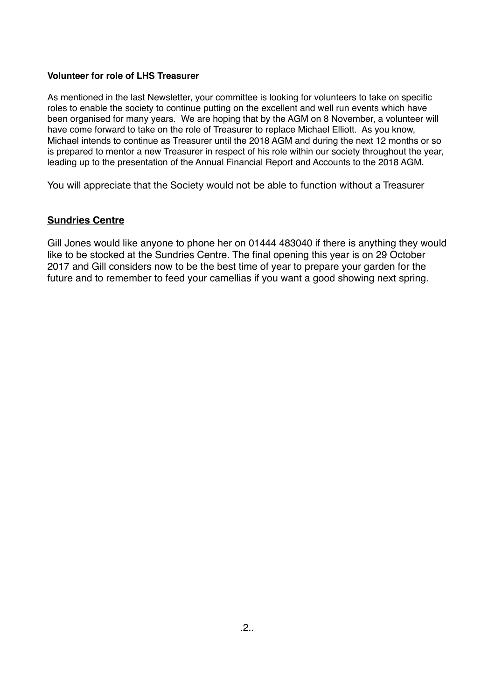# **Volunteer for role of LHS Treasurer**

As mentioned in the last Newsletter, your committee is looking for volunteers to take on specific roles to enable the society to continue putting on the excellent and well run events which have been organised for many years. We are hoping that by the AGM on 8 November, a volunteer will have come forward to take on the role of Treasurer to replace Michael Elliott. As you know, Michael intends to continue as Treasurer until the 2018 AGM and during the next 12 months or so is prepared to mentor a new Treasurer in respect of his role within our society throughout the year, leading up to the presentation of the Annual Financial Report and Accounts to the 2018 AGM.

You will appreciate that the Society would not be able to function without a Treasurer

# **Sundries Centre**

Gill Jones would like anyone to phone her on 01444 483040 if there is anything they would like to be stocked at the Sundries Centre. The final opening this year is on 29 October 2017 and Gill considers now to be the best time of year to prepare your garden for the future and to remember to feed your camellias if you want a good showing next spring.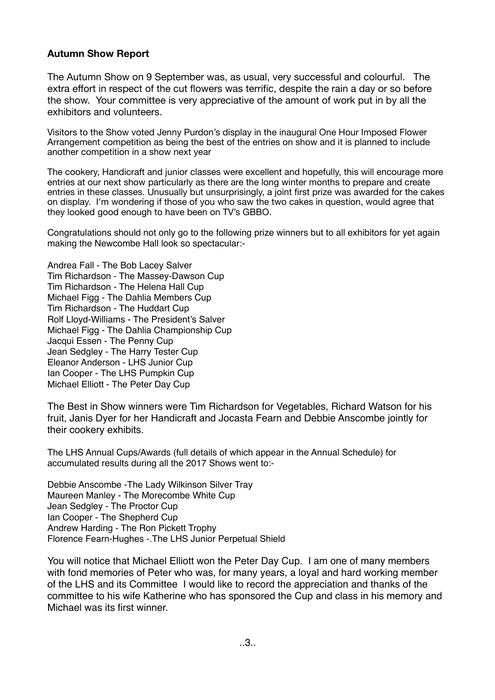# **Autumn Show Report**

The Autumn Show on 9 September was, as usual, very successful and colourful. The extra effort in respect of the cut flowers was terrific, despite the rain a day or so before the show. Your committee is very appreciative of the amount of work put in by all the exhibitors and volunteers.

Visitors to the Show voted Jenny Purdon's display in the inaugural One Hour Imposed Flower Arrangement competition as being the best of the entries on show and it is planned to include another competition in a show next year

The cookery, Handicraft and junior classes were excellent and hopefully, this will encourage more entries at our next show particularly as there are the long winter months to prepare and create entries in these classes. Unusually but unsurprisingly, a joint first prize was awarded for the cakes on display. I'm wondering if those of you who saw the two cakes in question, would agree that they looked good enough to have been on TV's GBBO.

Congratulations should not only go to the following prize winners but to all exhibitors for yet again making the Newcombe Hall look so spectacular:-

Andrea Fall - The Bob Lacey Salver Tim Richardson - The Massey-Dawson Cup Tim Richardson - The Helena Hall Cup Michael Figg - The Dahlia Members Cup Tim Richardson - The Huddart Cup Rolf Lloyd-Williams - The President's Salver Michael Figg - The Dahlia Championship Cup Jacqui Essen - The Penny Cup Jean Sedgley - The Harry Tester Cup Eleanor Anderson - LHS Junior Cup Ian Cooper - The LHS Pumpkin Cup Michael Elliott - The Peter Day Cup

The Best in Show winners were Tim Richardson for Vegetables, Richard Watson for his fruit, Janis Dyer for her Handicraft and Jocasta Fearn and Debbie Anscombe jointly for their cookery exhibits.

The LHS Annual Cups/Awards (full details of which appear in the Annual Schedule) for accumulated results during all the 2017 Shows went to:-

Debbie Anscombe -The Lady Wilkinson Silver Tray Maureen Manley - The Morecombe White Cup Jean Sedgley - The Proctor Cup Ian Cooper - The Shepherd Cup Andrew Harding - The Ron Pickett Trophy Florence Fearn-Hughes -.The LHS Junior Perpetual Shield

You will notice that Michael Elliott won the Peter Day Cup. I am one of many members with fond memories of Peter who was, for many years, a loyal and hard working member of the LHS and its Committee I would like to record the appreciation and thanks of the committee to his wife Katherine who has sponsored the Cup and class in his memory and Michael was its first winner.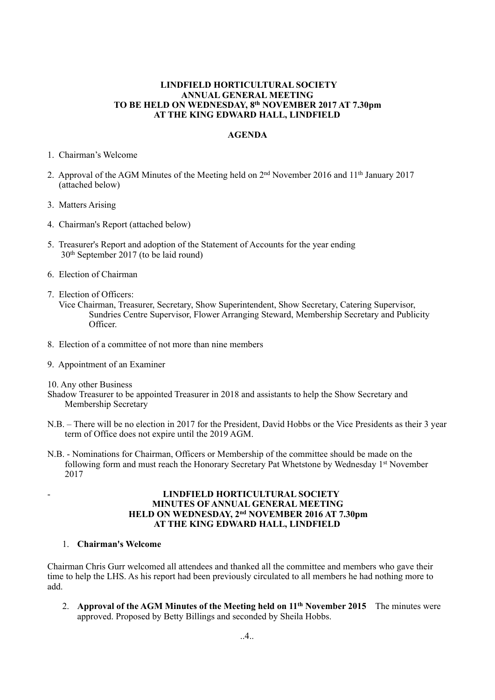#### **LINDFIELD HORTICULTURAL SOCIETY ANNUAL GENERAL MEETING TO BE HELD ON WEDNESDAY, 8th NOVEMBER 2017 AT 7.30pm AT THE KING EDWARD HALL, LINDFIELD**

#### **AGENDA**

- 1. Chairman's Welcome
- 2. Approval of the AGM Minutes of the Meeting held on 2nd November 2016 and 11th January 2017 (attached below)
- 3. Matters Arising
- 4. Chairman's Report (attached below)
- 5. Treasurer's Report and adoption of the Statement of Accounts for the year ending 30th September 2017 (to be laid round)
- 6. Election of Chairman
- 7. Election of Officers:
	- Vice Chairman, Treasurer, Secretary, Show Superintendent, Show Secretary, Catering Supervisor, Sundries Centre Supervisor, Flower Arranging Steward, Membership Secretary and Publicity Officer.
- 8. Election of a committee of not more than nine members
- 9. Appointment of an Examiner
- 10. Any other Business
- Shadow Treasurer to be appointed Treasurer in 2018 and assistants to help the Show Secretary and Membership Secretary
- N.B. There will be no election in 2017 for the President, David Hobbs or the Vice Presidents as their 3 year term of Office does not expire until the 2019 AGM.
- N.B. Nominations for Chairman, Officers or Membership of the committee should be made on the following form and must reach the Honorary Secretary Pat Whetstone by Wednesday 1<sup>st</sup> November 2017

#### - **LINDFIELD HORTICULTURAL SOCIETY MINUTES OF ANNUAL GENERAL MEETING HELD ON WEDNESDAY, 2nd NOVEMBER 2016 AT 7.30pm AT THE KING EDWARD HALL, LINDFIELD**

### 1. **Chairman's Welcome**

Chairman Chris Gurr welcomed all attendees and thanked all the committee and members who gave their time to help the LHS. As his report had been previously circulated to all members he had nothing more to add.

2. **Approval of the AGM Minutes of the Meeting held on 11th November 2015** The minutes were approved. Proposed by Betty Billings and seconded by Sheila Hobbs.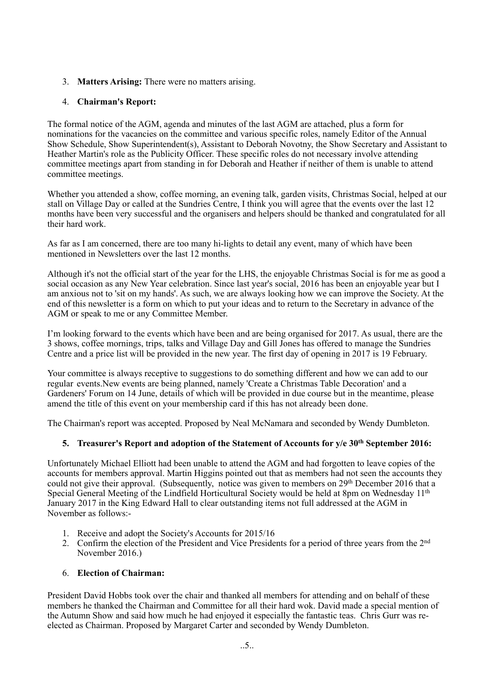# 3. **Matters Arising:** There were no matters arising.

# 4. **Chairman's Report:**

The formal notice of the AGM, agenda and minutes of the last AGM are attached, plus a form for nominations for the vacancies on the committee and various specific roles, namely Editor of the Annual Show Schedule, Show Superintendent(s), Assistant to Deborah Novotny, the Show Secretary and Assistant to Heather Martin's role as the Publicity Officer. These specific roles do not necessary involve attending committee meetings apart from standing in for Deborah and Heather if neither of them is unable to attend committee meetings.

Whether you attended a show, coffee morning, an evening talk, garden visits, Christmas Social, helped at our stall on Village Day or called at the Sundries Centre, I think you will agree that the events over the last 12 months have been very successful and the organisers and helpers should be thanked and congratulated for all their hard work.

As far as I am concerned, there are too many hi-lights to detail any event, many of which have been mentioned in Newsletters over the last 12 months.

Although it's not the official start of the year for the LHS, the enjoyable Christmas Social is for me as good a social occasion as any New Year celebration. Since last year's social, 2016 has been an enjoyable year but I am anxious not to 'sit on my hands'. As such, we are always looking how we can improve the Society. At the end of this newsletter is a form on which to put your ideas and to return to the Secretary in advance of the AGM or speak to me or any Committee Member.

I'm looking forward to the events which have been and are being organised for 2017. As usual, there are the 3 shows, coffee mornings, trips, talks and Village Day and Gill Jones has offered to manage the Sundries Centre and a price list will be provided in the new year. The first day of opening in 2017 is 19 February.

Your committee is always receptive to suggestions to do something different and how we can add to our regular events.New events are being planned, namely 'Create a Christmas Table Decoration' and a Gardeners' Forum on 14 June, details of which will be provided in due course but in the meantime, please amend the title of this event on your membership card if this has not already been done.

The Chairman's report was accepted. Proposed by Neal McNamara and seconded by Wendy Dumbleton.

#### **5. Treasurer's Report and adoption of the Statement of Accounts for y/e 30th September 2016:**

Unfortunately Michael Elliott had been unable to attend the AGM and had forgotten to leave copies of the accounts for members approval. Martin Higgins pointed out that as members had not seen the accounts they could not give their approval. (Subsequently, notice was given to members on 29<sup>th</sup> December 2016 that a Special General Meeting of the Lindfield Horticultural Society would be held at 8pm on Wednesday 11<sup>th</sup> January 2017 in the King Edward Hall to clear outstanding items not full addressed at the AGM in November as follows:-

- 1. Receive and adopt the Society's Accounts for 2015/16
- 2. Confirm the election of the President and Vice Presidents for a period of three years from the 2nd November 2016.)

### 6. **Election of Chairman:**

President David Hobbs took over the chair and thanked all members for attending and on behalf of these members he thanked the Chairman and Committee for all their hard wok. David made a special mention of the Autumn Show and said how much he had enjoyed it especially the fantastic teas. Chris Gurr was reelected as Chairman. Proposed by Margaret Carter and seconded by Wendy Dumbleton.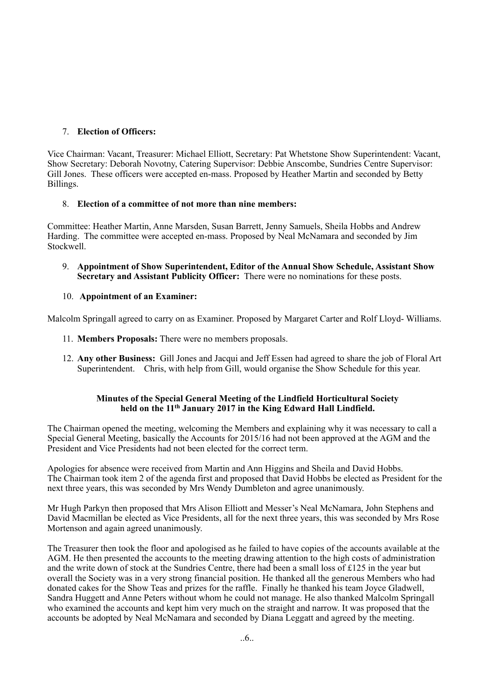# 7. **Election of Officers:**

Vice Chairman: Vacant, Treasurer: Michael Elliott, Secretary: Pat Whetstone Show Superintendent: Vacant, Show Secretary: Deborah Novotny, Catering Supervisor: Debbie Anscombe, Sundries Centre Supervisor: Gill Jones. These officers were accepted en-mass. Proposed by Heather Martin and seconded by Betty Billings.

## 8. **Election of a committee of not more than nine members:**

Committee: Heather Martin, Anne Marsden, Susan Barrett, Jenny Samuels, Sheila Hobbs and Andrew Harding. The committee were accepted en-mass. Proposed by Neal McNamara and seconded by Jim Stockwell.

9. **Appointment of Show Superintendent, Editor of the Annual Show Schedule, Assistant Show Secretary and Assistant Publicity Officer:** There were no nominations for these posts.

## 10. **Appointment of an Examiner:**

Malcolm Springall agreed to carry on as Examiner. Proposed by Margaret Carter and Rolf Lloyd- Williams.

- 11. **Members Proposals:** There were no members proposals.
- 12. **Any other Business:** Gill Jones and Jacqui and Jeff Essen had agreed to share the job of Floral Art Superintendent. Chris, with help from Gill, would organise the Show Schedule for this year.

### **Minutes of the Special General Meeting of the Lindfield Horticultural Society held on the 11th January 2017 in the King Edward Hall Lindfield.**

The Chairman opened the meeting, welcoming the Members and explaining why it was necessary to call a Special General Meeting, basically the Accounts for 2015/16 had not been approved at the AGM and the President and Vice Presidents had not been elected for the correct term.

Apologies for absence were received from Martin and Ann Higgins and Sheila and David Hobbs. The Chairman took item 2 of the agenda first and proposed that David Hobbs be elected as President for the next three years, this was seconded by Mrs Wendy Dumbleton and agree unanimously.

Mr Hugh Parkyn then proposed that Mrs Alison Elliott and Messer's Neal McNamara, John Stephens and David Macmillan be elected as Vice Presidents, all for the next three years, this was seconded by Mrs Rose Mortenson and again agreed unanimously.

The Treasurer then took the floor and apologised as he failed to have copies of the accounts available at the AGM. He then presented the accounts to the meeting drawing attention to the high costs of administration and the write down of stock at the Sundries Centre, there had been a small loss of £125 in the year but overall the Society was in a very strong financial position. He thanked all the generous Members who had donated cakes for the Show Teas and prizes for the raffle. Finally he thanked his team Joyce Gladwell, Sandra Huggett and Anne Peters without whom he could not manage. He also thanked Malcolm Springall who examined the accounts and kept him very much on the straight and narrow. It was proposed that the accounts be adopted by Neal McNamara and seconded by Diana Leggatt and agreed by the meeting.